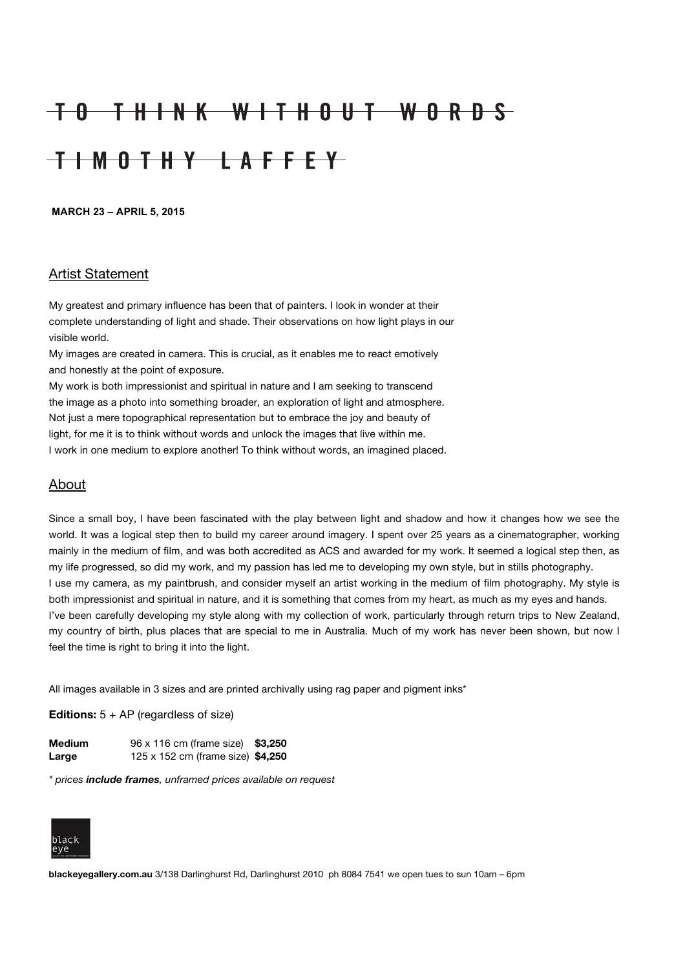## TO THINK WITHOUT WORDS TIMOTHY LAFFEY

**MARCH 23 – APRIL 5, 2015**

## Artist Statement

My greatest and primary influence has been that of painters. I look in wonder at their complete understanding of light and shade. Their observations on how light plays in our visible world.

My images are created in camera. This is crucial, as it enables me to react emotively and honestly at the point of exposure.

My work is both impressionist and spiritual in nature and I am seeking to transcend the image as a photo into something broader, an exploration of light and atmosphere. Not just a mere topographical representation but to embrace the joy and beauty of light, for me it is to think without words and unlock the images that live within me. I work in one medium to explore another! To think without words, an imagined placed.

## About

Since a small boy, I have been fascinated with the play between light and shadow and how it changes how we see the world. It was a logical step then to build my career around imagery. I spent over 25 years as a cinematographer, working mainly in the medium of film, and was both accredited as ACS and awarded for my work. It seemed a logical step then, as my life progressed, so did my work, and my passion has led me to developing my own style, but in stills photography. I use my camera, as my paintbrush, and consider myself an artist working in the medium of film photography. My style is both impressionist and spiritual in nature, and it is something that comes from my heart, as much as my eyes and hands. I've been carefully developing my style along with my collection of work, particularly through return trips to New Zealand, my country of birth, plus places that are special to me in Australia. Much of my work has never been shown, but now I feel the time is right to bring it into the light.

All images available in 3 sizes and are printed archivally using rag paper and pigment inks\*

**Editions:** 5 + AP (regardless of size)

| <b>Medium</b> | 96 x 116 cm (frame size) \$3,250  |  |
|---------------|-----------------------------------|--|
| Large         | 125 x 152 cm (frame size) \$4,250 |  |

*\* prices include frames, unframed prices available on request*



**blackeyegallery.com.au** 3/138 Darlinghurst Rd, Darlinghurst 2010 ph 8084 7541 we open tues to sun 10am – 6pm